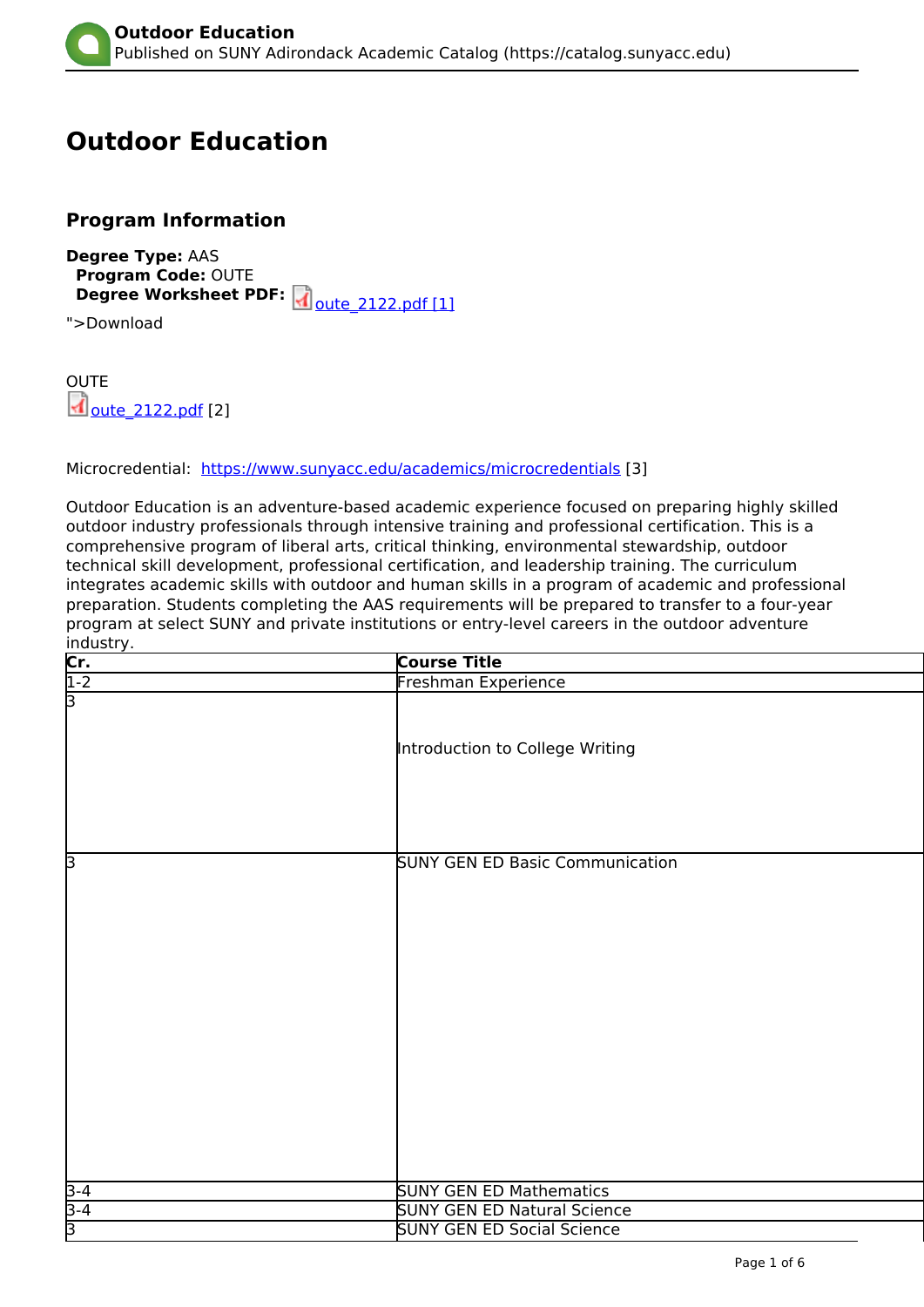# <span id="page-0-0"></span>**Outdoor Education**

# **Program Information**

**Degree Type:** AAS **Program Code:** OUTE **Degree Worksheet PDF:** 00the 2122.pdf [1]

">Download

**OUTE**  $\overline{d}$  oute 2122.pdf [2]

Microcredential: <https://www.sunyacc.edu/academics/microcredentials> [3]

Outdoor Education is an adventure-based academic experience focused on preparing highly skilled outdoor industry professionals through intensive training and professional certification. This is a comprehensive program of liberal arts, critical thinking, environmental stewardship, outdoor technical skill development, professional certification, and leadership training. The curriculum integrates academic skills with outdoor and human skills in a program of academic and professional preparation. Students completing the AAS requirements will be prepared to transfer to a four-year program at select SUNY and private institutions or entry-level careers in the outdoor adventure industry.

|                                      | <b>Course Title</b>                    |  |
|--------------------------------------|----------------------------------------|--|
|                                      | Freshman Experience                    |  |
| $\frac{\overbrace{\text{Cr.}}}{1-2}$ | Introduction to College Writing        |  |
| β                                    | <b>SUNY GEN ED Basic Communication</b> |  |
|                                      | <b>SUNY GEN ED Mathematics</b>         |  |
| $\frac{3-4}{3-4}$                    | <b>SUNY GEN ED Natural Science</b>     |  |
|                                      | <b>SUNY GEN ED Social Science</b>      |  |
|                                      |                                        |  |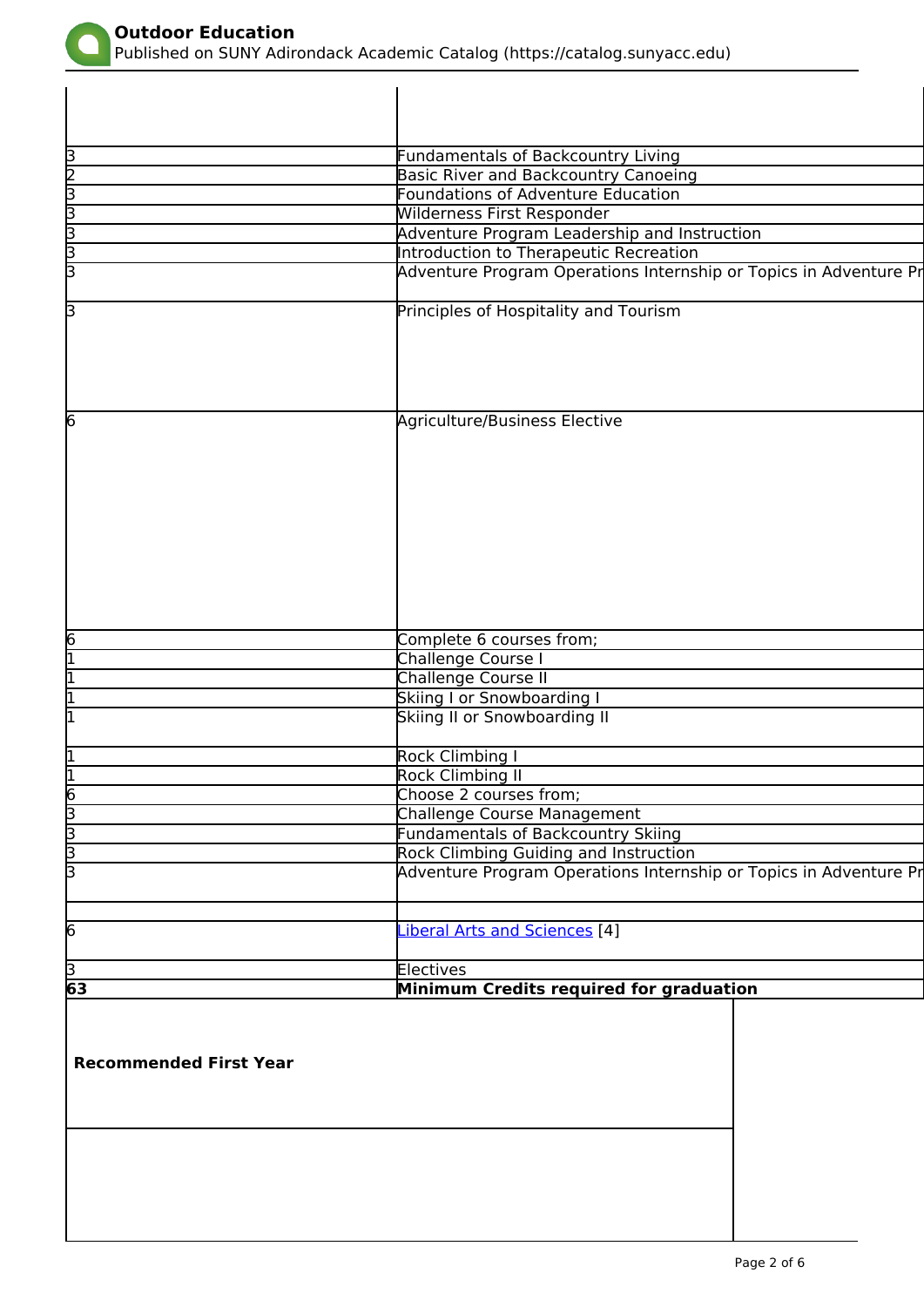<span id="page-1-0"></span>

 $\mathsf{l}$ 

Published on SUNY Adirondack Academic Catalog (https://catalog.sunyacc.edu)

| Recommended First Year |                                                                   |  |
|------------------------|-------------------------------------------------------------------|--|
|                        |                                                                   |  |
|                        | Minimum Credits required for graduation                           |  |
| $\frac{3}{63}$         | Electives                                                         |  |
| 6                      | iberal Arts and Sciences [4]                                      |  |
|                        |                                                                   |  |
|                        | Adventure Program Operations Internship or Topics in Adventure Pr |  |
| <u>   արո</u>          | Rock Climbing Guiding and Instruction                             |  |
|                        | <b>Fundamentals of Backcountry Skiing</b>                         |  |
|                        | <b>Challenge Course Management</b>                                |  |
|                        | Choose 2 courses from;                                            |  |
|                        | Rock Climbing I<br><b>Rock Climbing II</b>                        |  |
|                        |                                                                   |  |
|                        | Skiing II or Snowboarding II                                      |  |
|                        | Skiing I or Snowboarding I                                        |  |
|                        | <b>Challenge Course II</b>                                        |  |
|                        | Challenge Course I                                                |  |
| $\overline{6}$         | Complete 6 courses from;                                          |  |
|                        |                                                                   |  |
|                        |                                                                   |  |
|                        |                                                                   |  |
|                        |                                                                   |  |
|                        |                                                                   |  |
|                        |                                                                   |  |
|                        |                                                                   |  |
| 6                      | Agriculture/Business Elective                                     |  |
|                        |                                                                   |  |
|                        |                                                                   |  |
|                        |                                                                   |  |
|                        |                                                                   |  |
| 3                      | Principles of Hospitality and Tourism                             |  |
| В                      | Adventure Program Operations Internship or Topics in Adventure Pr |  |
| ախ                     | Introduction to Therapeutic Recreation                            |  |
|                        | Adventure Program Leadership and Instruction                      |  |
| З                      | Wilderness First Responder                                        |  |
| mlm                    | <b>Foundations of Adventure Education</b>                         |  |
|                        | <b>Basic River and Backcountry Canoeing</b>                       |  |
|                        | Fundamentals of Backcountry Living                                |  |
|                        |                                                                   |  |
|                        |                                                                   |  |
|                        |                                                                   |  |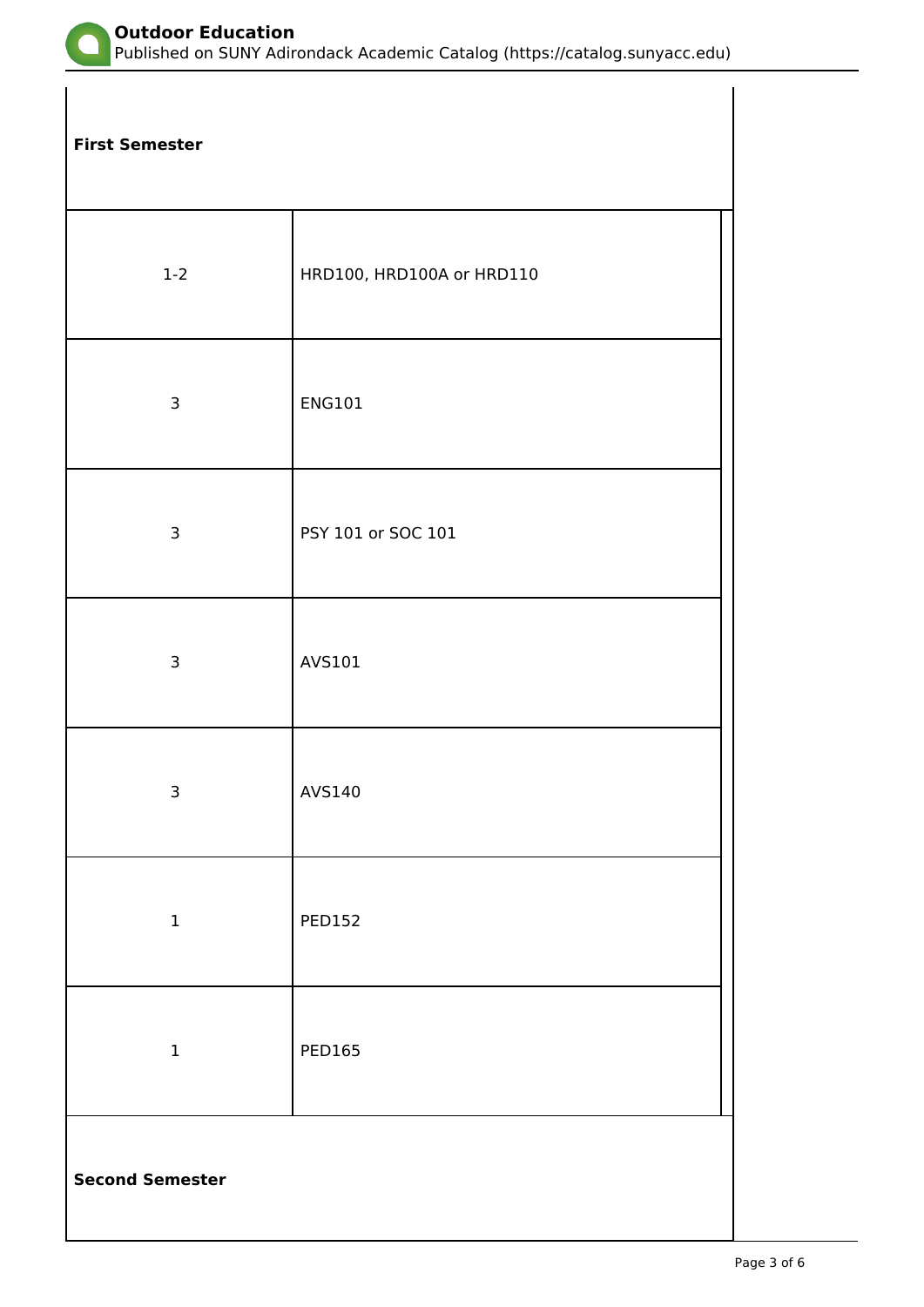

Published on SUNY Adirondack Academic Catalog (https://catalog.sunyacc.edu)

**First Semester**

| $1 - 2$                | HRD100, HRD100A or HRD110 |
|------------------------|---------------------------|
| 3                      | ENG101                    |
| 3                      | PSY 101 or SOC 101        |
| $\mathsf{3}$           | AVS101                    |
| $\mathsf{3}$           | AVS140                    |
| $\mathbf 1$            | <b>PED152</b>             |
| $\mathbf 1$            | <b>PED165</b>             |
| <b>Second Semester</b> |                           |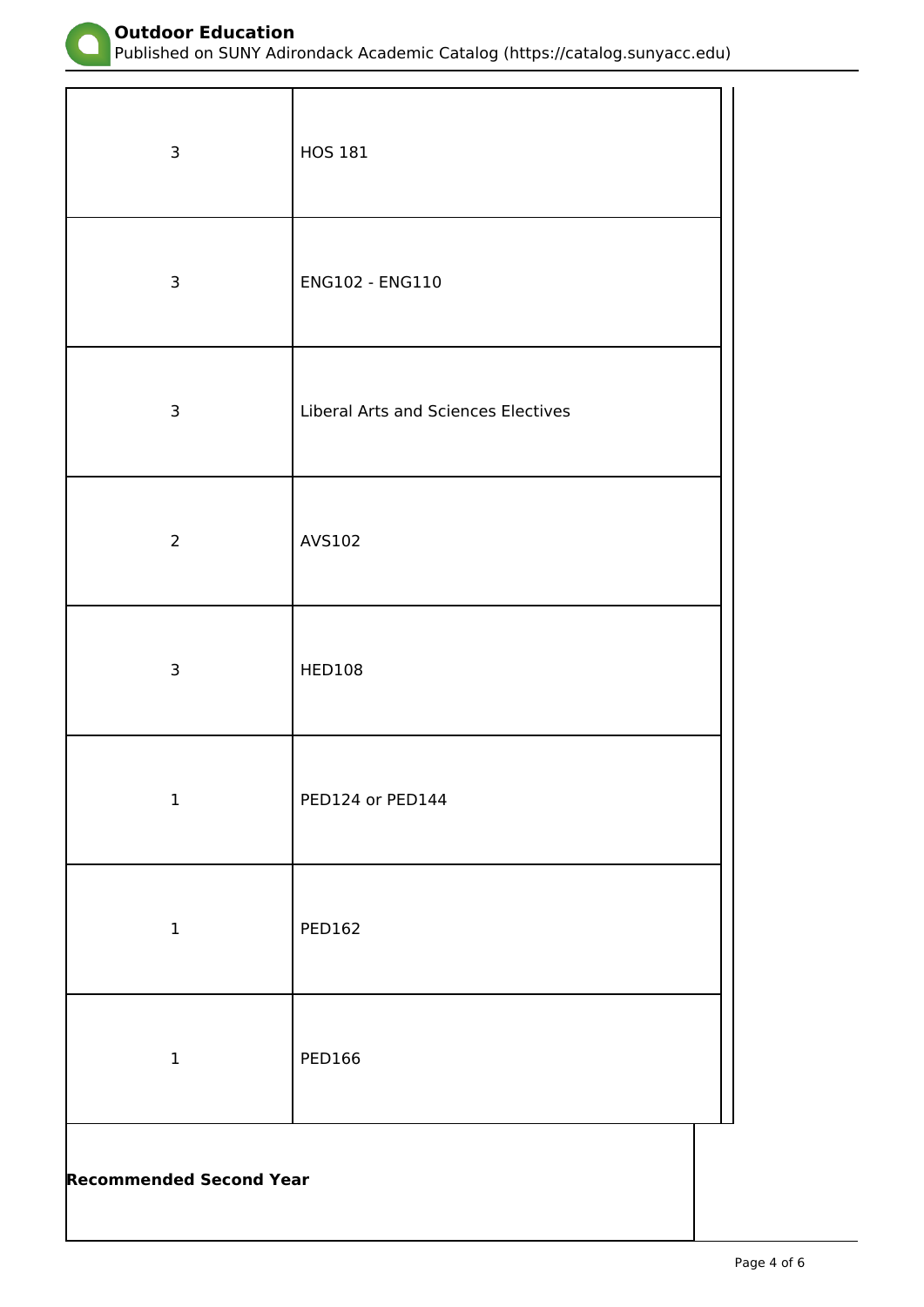

Published on SUNY Adirondack Academic Catalog (https://catalog.sunyacc.edu)

| 3                              | <b>HOS 181</b>                             |  |
|--------------------------------|--------------------------------------------|--|
| $\mathsf{3}$                   | ENG102 - ENG110                            |  |
| $\mathsf{3}$                   | <b>Liberal Arts and Sciences Electives</b> |  |
| $\overline{2}$                 | AVS102                                     |  |
| $\mathsf{3}$                   | <b>HED108</b>                              |  |
| $\mathbf 1$                    | PED124 or PED144                           |  |
| $\mathbf 1$                    | <b>PED162</b>                              |  |
| $\mathbf 1$                    | <b>PED166</b>                              |  |
| <b>Recommended Second Year</b> |                                            |  |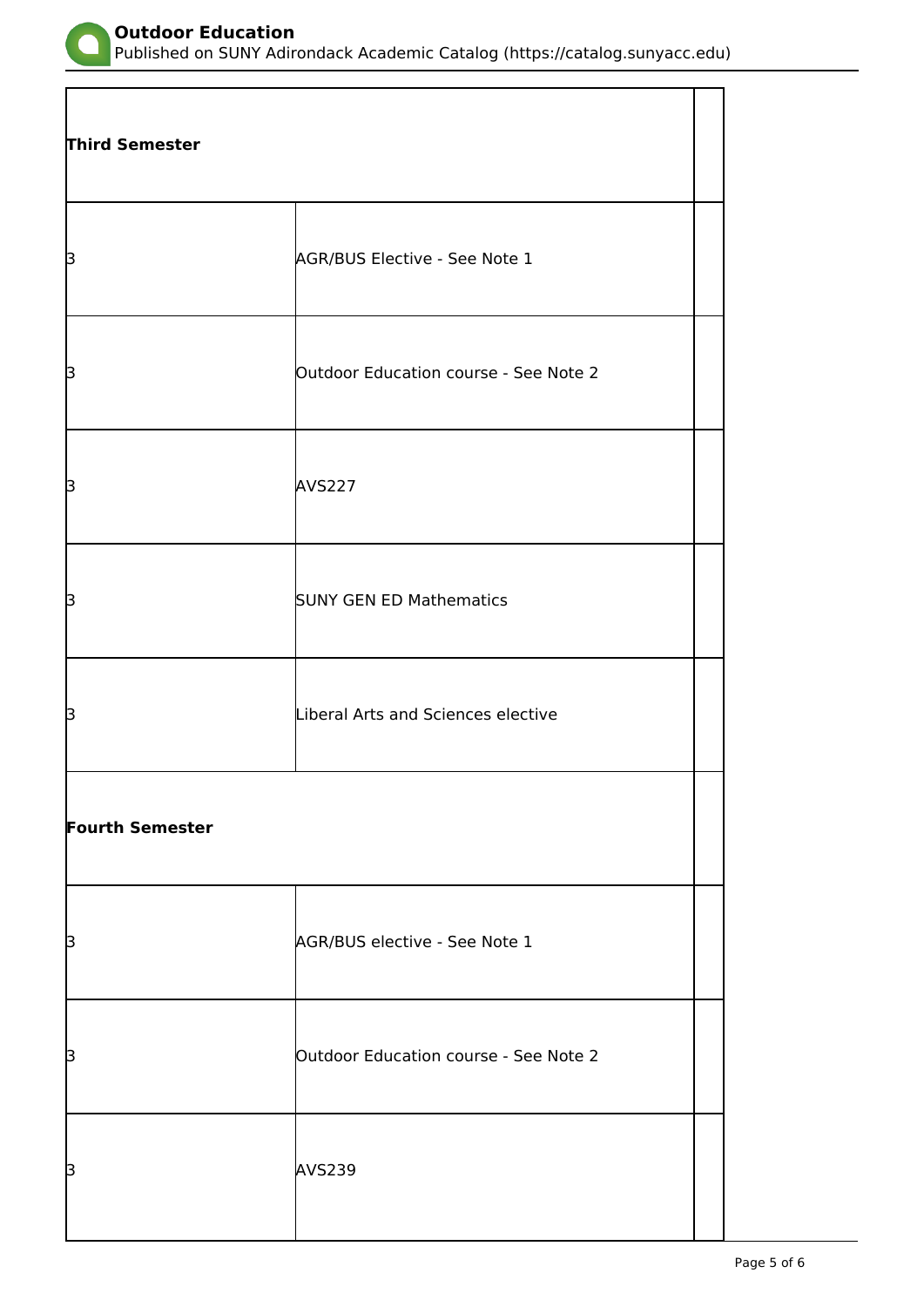

Published on SUNY Adirondack Academic Catalog (https://catalog.sunyacc.edu)

| <b>Third Semester</b>  |                                       |  |
|------------------------|---------------------------------------|--|
| þ                      | AGR/BUS Elective - See Note 1         |  |
| þ                      | Outdoor Education course - See Note 2 |  |
| þ                      | <b>AVS227</b>                         |  |
| β                      | <b>SUNY GEN ED Mathematics</b>        |  |
| β                      | Liberal Arts and Sciences elective    |  |
| <b>Fourth Semester</b> |                                       |  |
| β                      | AGR/BUS elective - See Note 1         |  |
| β                      | Outdoor Education course - See Note 2 |  |
| þ                      | <b>AVS239</b>                         |  |

 $\overline{\phantom{a}}$